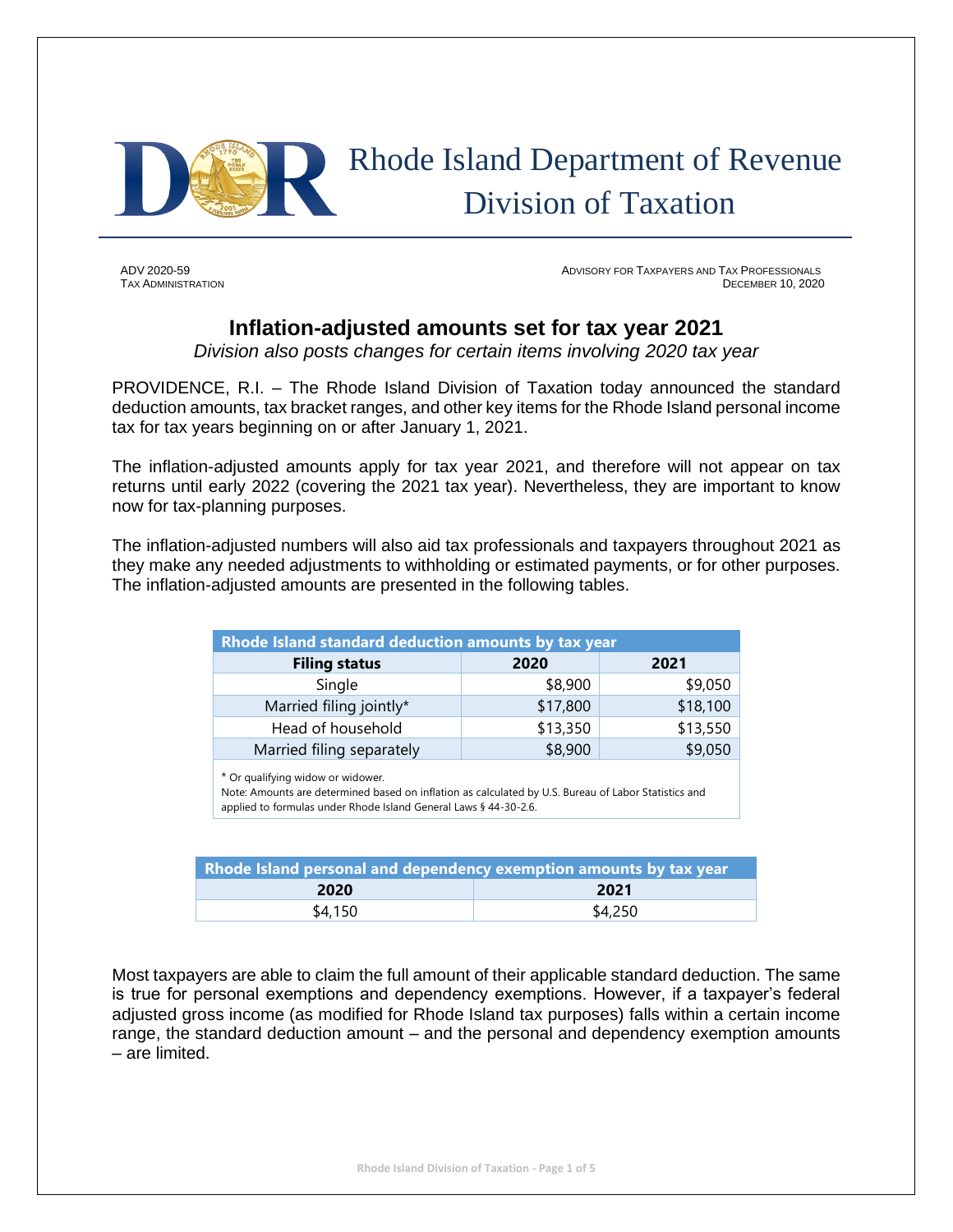

 Rhode Island Department of Revenue Division of Taxation

ADV 2020-59 ADVISORY FOR TAXPAYERS AND TAX PROFESSIONALS DECEMBER 10, 2020

## **Inflation-adjusted amounts set for tax year 2021**

*Division also posts changes for certain items involving 2020 tax year*

PROVIDENCE, R.I. – The Rhode Island Division of Taxation today announced the standard deduction amounts, tax bracket ranges, and other key items for the Rhode Island personal income tax for tax years beginning on or after January 1, 2021.

The inflation-adjusted amounts apply for tax year 2021, and therefore will not appear on tax returns until early 2022 (covering the 2021 tax year). Nevertheless, they are important to know now for tax-planning purposes.

The inflation-adjusted numbers will also aid tax professionals and taxpayers throughout 2021 as they make any needed adjustments to withholding or estimated payments, or for other purposes. The inflation-adjusted amounts are presented in the following tables.

| Rhode Island standard deduction amounts by tax year |          |          |  |  |  |  |
|-----------------------------------------------------|----------|----------|--|--|--|--|
| <b>Filing status</b>                                | 2020     | 2021     |  |  |  |  |
| Single                                              | \$8,900  | \$9,050  |  |  |  |  |
| Married filing jointly*                             | \$17,800 | \$18,100 |  |  |  |  |
| Head of household                                   | \$13,350 | \$13,550 |  |  |  |  |
| Married filing separately                           | \$8,900  | \$9,050  |  |  |  |  |

\* Or qualifying widow or widower.

Note: Amounts are determined based on inflation as calculated by U.S. Bureau of Labor Statistics and applied to formulas under Rhode Island General Laws § 44-30-2.6.

| Rhode Island personal and dependency exemption amounts by tax year |         |  |  |  |  |
|--------------------------------------------------------------------|---------|--|--|--|--|
| 2020                                                               | 2021    |  |  |  |  |
| \$4,150                                                            | \$4,250 |  |  |  |  |

Most taxpayers are able to claim the full amount of their applicable standard deduction. The same is true for personal exemptions and dependency exemptions. However, if a taxpayer's federal adjusted gross income (as modified for Rhode Island tax purposes) falls within a certain income range, the standard deduction amount – and the personal and dependency exemption amounts – are limited.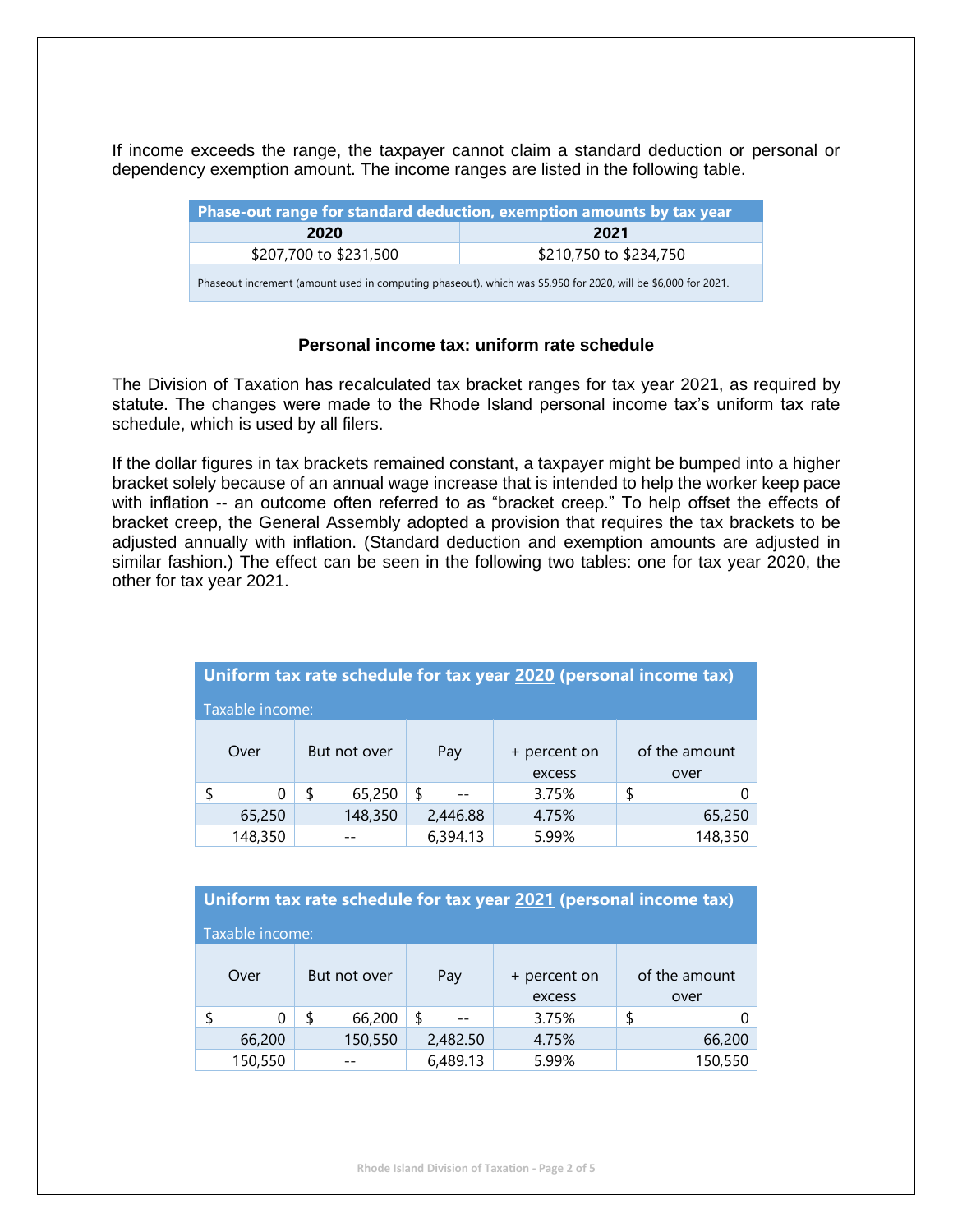If income exceeds the range, the taxpayer cannot claim a standard deduction or personal or dependency exemption amount. The income ranges are listed in the following table.

| Phase-out range for standard deduction, exemption amounts by tax year                                         |                        |  |  |  |  |
|---------------------------------------------------------------------------------------------------------------|------------------------|--|--|--|--|
| 2020                                                                                                          | 2021                   |  |  |  |  |
| \$207,700 to \$231,500                                                                                        | \$210,750 to \$234,750 |  |  |  |  |
| Phaseout increment (amount used in computing phaseout), which was \$5,950 for 2020, will be \$6,000 for 2021. |                        |  |  |  |  |

### **Personal income tax: uniform rate schedule**

The Division of Taxation has recalculated tax bracket ranges for tax year 2021, as required by statute. The changes were made to the Rhode Island personal income tax's uniform tax rate schedule, which is used by all filers.

If the dollar figures in tax brackets remained constant, a taxpayer might be bumped into a higher bracket solely because of an annual wage increase that is intended to help the worker keep pace with inflation -- an outcome often referred to as "bracket creep." To help offset the effects of bracket creep, the General Assembly adopted a provision that requires the tax brackets to be adjusted annually with inflation. (Standard deduction and exemption amounts are adjusted in similar fashion.) The effect can be seen in the following two tables: one for tax year 2020, the other for tax year 2021.

|                 | Uniform tax rate schedule for tax year 2020 (personal income tax) |   |              |          |                        |                       |  |  |
|-----------------|-------------------------------------------------------------------|---|--------------|----------|------------------------|-----------------------|--|--|
| Taxable income: |                                                                   |   |              |          |                        |                       |  |  |
|                 | Over                                                              |   | But not over | Pay      | + percent on<br>excess | of the amount<br>over |  |  |
| \$              | 0                                                                 | S | 65,250       | S        | 3.75%                  |                       |  |  |
|                 | 65,250                                                            |   | 148,350      | 2,446.88 | 4.75%                  | 65,250                |  |  |
|                 | 148,350                                                           |   |              | 6,394.13 | 5.99%                  | 148,350               |  |  |

| Uniform tax rate schedule for tax year 2021 (personal income tax) |         |   |              |          |                        |   |                       |  |
|-------------------------------------------------------------------|---------|---|--------------|----------|------------------------|---|-----------------------|--|
| Taxable income:                                                   |         |   |              |          |                        |   |                       |  |
|                                                                   | Over    |   | But not over | Pay      | + percent on<br>excess |   | of the amount<br>over |  |
|                                                                   |         | S | 66,200       | S        | 3.75%                  | S |                       |  |
|                                                                   | 66,200  |   | 150,550      | 2,482.50 | 4.75%                  |   | 66,200                |  |
|                                                                   | 150,550 |   |              | 6,489.13 | 5.99%                  |   | 150,550               |  |

**Rhode Island Division of Taxation - Page 2 of 5**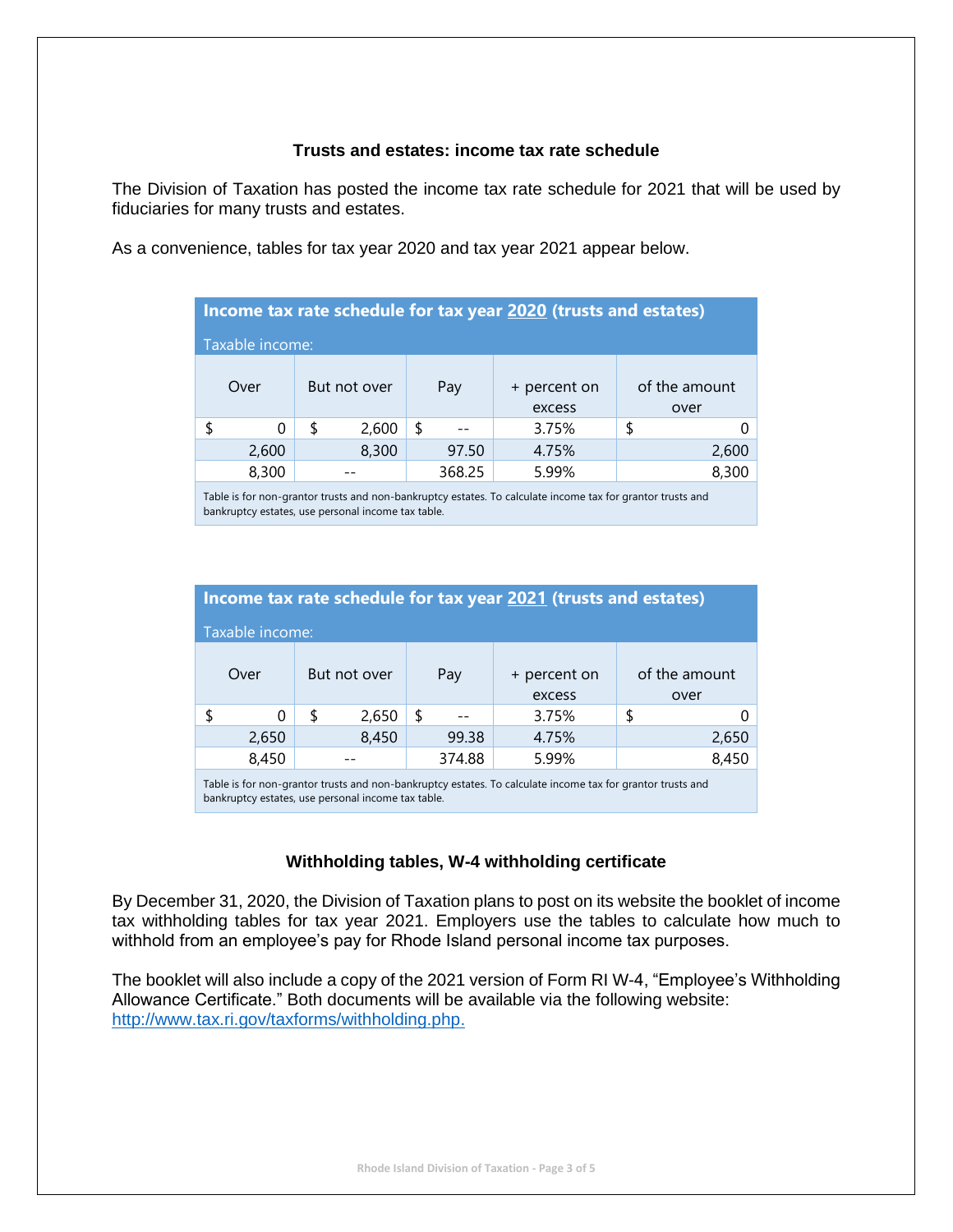#### **Trusts and estates: income tax rate schedule**

The Division of Taxation has posted the income tax rate schedule for 2021 that will be used by fiduciaries for many trusts and estates.

As a convenience, tables for tax year 2020 and tax year 2021 appear below.

| Income tax rate schedule for tax year 2020 (trusts and estates) |    |              |        |       |                        |   |                       |
|-----------------------------------------------------------------|----|--------------|--------|-------|------------------------|---|-----------------------|
| Taxable income:                                                 |    |              |        |       |                        |   |                       |
| Over                                                            |    | But not over |        | Pay   | + percent on<br>excess |   | of the amount<br>over |
| \$<br>0                                                         | \$ | 2,600        | \$     |       | 3.75%                  | S | 0                     |
| 2,600                                                           |    | 8,300        |        | 97.50 | 4.75%                  |   | 2,600                 |
| 8,300                                                           |    |              | 368.25 |       | 5.99%                  |   | 8,300                 |

Table is for non-grantor trusts and non-bankruptcy estates. To calculate income tax for grantor trusts and bankruptcy estates, use personal income tax table.

| Income tax rate schedule for tax year 2021 (trusts and estates)                                                                                                  |                                   |   |              |   |       |                        |   |                       |
|------------------------------------------------------------------------------------------------------------------------------------------------------------------|-----------------------------------|---|--------------|---|-------|------------------------|---|-----------------------|
| Taxable income:                                                                                                                                                  |                                   |   |              |   |       |                        |   |                       |
|                                                                                                                                                                  | Over                              |   | But not over |   | Pay   | + percent on<br>excess |   | of the amount<br>over |
|                                                                                                                                                                  | 0                                 | S | 2,650        | S |       | 3.75%                  | S |                       |
|                                                                                                                                                                  | 2,650                             |   | 8,450        |   | 99.38 | 4.75%                  |   | 2,650                 |
|                                                                                                                                                                  | 374.88<br>5.99%<br>8,450<br>8,450 |   |              |   |       |                        |   |                       |
| Table is for non-grantor trusts and non-bankruptcy estates. To calculate income tax for grantor trusts and<br>bankruptcy estates, use personal income tax table. |                                   |   |              |   |       |                        |   |                       |

#### **Withholding tables, W-4 withholding certificate**

By December 31, 2020, the Division of Taxation plans to post on its website the booklet of income tax withholding tables for tax year 2021. Employers use the tables to calculate how much to withhold from an employee's pay for Rhode Island personal income tax purposes.

The booklet will also include a copy of the 2021 version of Form RI W-4, "Employee's Withholding Allowance Certificate." Both documents will be available via the following website: [http://www.tax.ri.gov/taxforms/withholding.php.](http://www.tax.ri.gov/taxforms/withholding.php)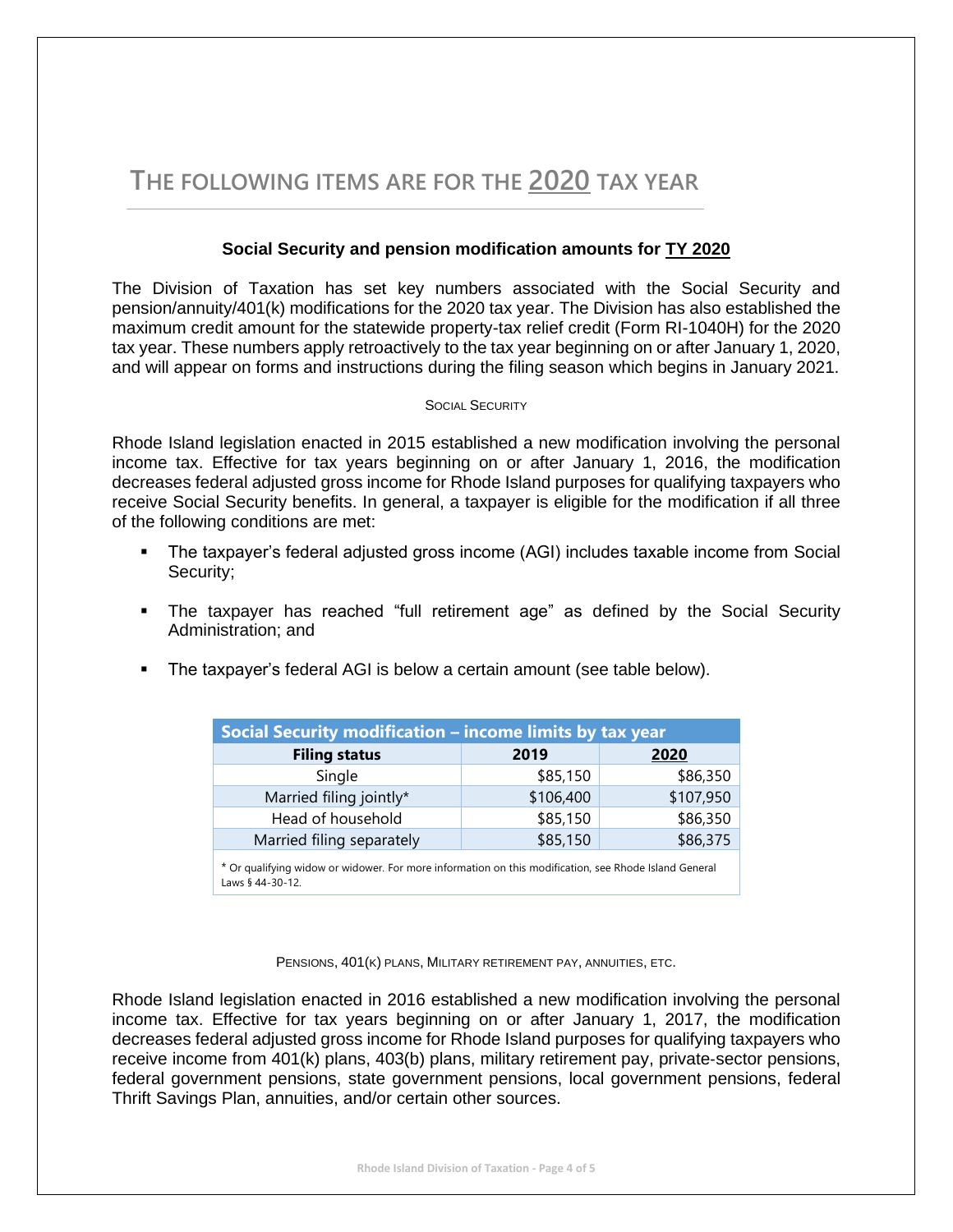# **THE FOLLOWING ITEMS ARE FOR THE 2020 TAX YEAR**

#### **Social Security and pension modification amounts for TY 2020**

The Division of Taxation has set key numbers associated with the Social Security and pension/annuity/401(k) modifications for the 2020 tax year. The Division has also established the maximum credit amount for the statewide property-tax relief credit (Form RI-1040H) for the 2020 tax year. These numbers apply retroactively to the tax year beginning on or after January 1, 2020, and will appear on forms and instructions during the filing season which begins in January 2021.

SOCIAL SECURITY

Rhode Island legislation enacted in 2015 established a new modification involving the personal income tax. Effective for tax years beginning on or after January 1, 2016, the modification decreases federal adjusted gross income for Rhode Island purposes for qualifying taxpayers who receive Social Security benefits. In general, a taxpayer is eligible for the modification if all three of the following conditions are met:

- The taxpayer's federal adjusted gross income (AGI) includes taxable income from Social Security;
- The taxpayer has reached "full retirement age" as defined by the Social Security Administration; and
- The taxpayer's federal AGI is below a certain amount (see table below).

| Social Security modification - income limits by tax year                                                                  |           |           |  |  |  |  |
|---------------------------------------------------------------------------------------------------------------------------|-----------|-----------|--|--|--|--|
| <b>Filing status</b>                                                                                                      | 2019      | 2020      |  |  |  |  |
| Single                                                                                                                    | \$85,150  | \$86,350  |  |  |  |  |
| Married filing jointly*                                                                                                   | \$106,400 | \$107,950 |  |  |  |  |
| Head of household                                                                                                         | \$85,150  | \$86,350  |  |  |  |  |
| Married filing separately                                                                                                 | \$85,150  | \$86,375  |  |  |  |  |
| * Or qualifying widow or widower. For more information on this modification, see Rhode Island General<br>l aws § 44-30-12 |           |           |  |  |  |  |

PENSIONS, 401(K) PLANS, MILITARY RETIREMENT PAY, ANNUITIES, ETC.

Rhode Island legislation enacted in 2016 established a new modification involving the personal income tax. Effective for tax years beginning on or after January 1, 2017, the modification decreases federal adjusted gross income for Rhode Island purposes for qualifying taxpayers who receive income from 401(k) plans, 403(b) plans, military retirement pay, private‐sector pensions, federal government pensions, state government pensions, local government pensions, federal Thrift Savings Plan, annuities, and/or certain other sources.